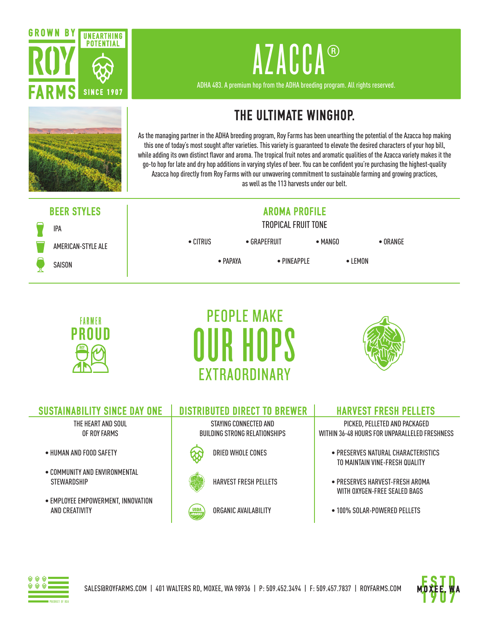



ADHA 483. A premium hop from the ADHA breeding program. All rights reserved.



## **THE ULTIMATE WINGHOP.**

As the managing partner in the ADHA breeding program, Roy Farms has been unearthing the potential of the Azacca hop making this one of today's most sought after varieties. This variety is guaranteed to elevate the desired characters of your hop bill, while adding its own distinct flavor and aroma. The tropical fruit notes and aromatic qualities of the Azacca variety makes it the go-to hop for late and dry hop additions in varying styles of beer. You can be confident you're purchasing the highest-quality Azacca hop directly from Roy Farms with our unwavering commitment to sustainable farming and growing practices, as well as the 113 harvests under our belt.

## **BEER STYLES AROMA PROFILE**



AMERICAN-STYLE ALE

## TROPICAL FRUIT TONE

• CITRUS • GRAPEFRUIT • MANGO • ORANGE

• PAPAYA • PINEAPPLE • LEMON







| <b>SUSTAINABILITY SINCE DAY ONE</b>                  | <b>DISTRIBUTED DIRECT TO BREWER</b>                    | <b>HARVEST FRESH PELLETS</b>                                                   |
|------------------------------------------------------|--------------------------------------------------------|--------------------------------------------------------------------------------|
| THE HEART AND SOUL<br>OF ROY FARMS                   | STAYING CONNECTED AND<br>BUILDING STRONG RELATIONSHIPS | PICKED, PELLETED AND PACKAGED<br>WITHIN 36-48 HOURS FOR UNPARALLELED FRESHNESS |
| • HUMAN AND FOOD SAFETY                              | DRIED WHOLE CONES                                      | $\bullet$ PRESERVES NATURAL CHARACTERISTICS<br>TO MAINTAIN VINE-FRESH QUALITY  |
| • COMMUNITY AND ENVIRONMENTAL<br><b>STEWARDSHIP</b>  | <b>HARVEST FRESH PELLETS</b>                           | $\bullet$ PRESERVES HARVEST-FRESH AROMA<br>WITH OXYGEN-FREE SEALED BAGS        |
| • EMPLOYEE EMPOWERMENT, INNOVATION<br>AND CREATIVITY | ORGANIC AVAILABILITY<br><b>USDA</b>                    | • 100% SOLAR-POWERED PELLETS                                                   |